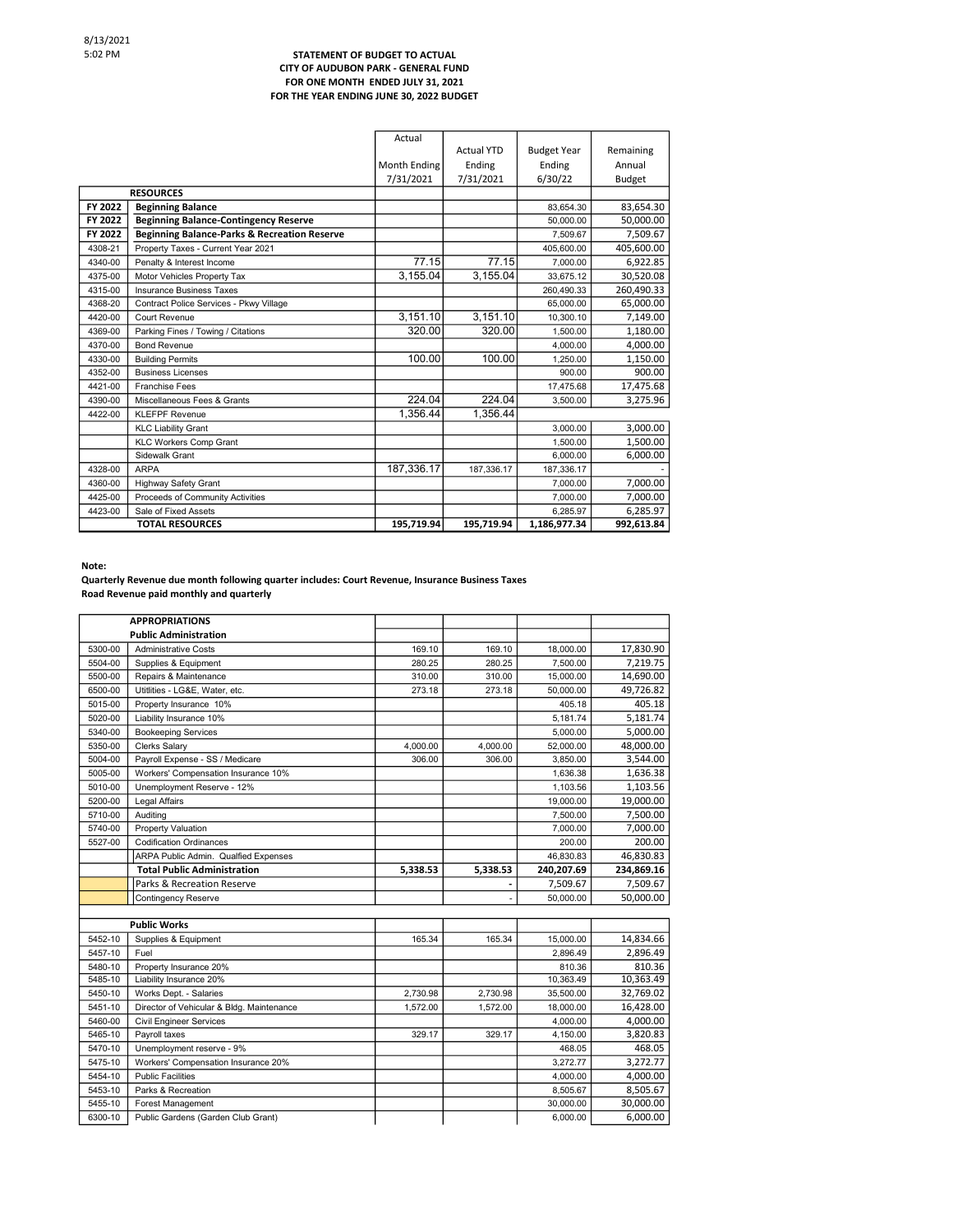## STATEMENT OF BUDGET TO ACTUAL CITY OF AUDUBON PARK - GENERAL FUND FOR ONE MONTH ENDED JULY 31, 2021 FOR THE YEAR ENDING JUNE 30, 2022 BUDGET

|         |                                                         | Actual       |                    |                    |               |
|---------|---------------------------------------------------------|--------------|--------------------|--------------------|---------------|
|         |                                                         |              | <b>Actual YTD</b>  | <b>Budget Year</b> | Remaining     |
|         |                                                         | Month Ending | Ending             | Ending             | Annual        |
|         |                                                         | 7/31/2021    | 7/31/2021          | 6/30/22            | <b>Budget</b> |
|         | <b>RESOURCES</b>                                        |              |                    |                    |               |
| FY 2022 | <b>Beginning Balance</b>                                |              |                    | 83,654.30          | 83,654.30     |
| FY 2022 | <b>Beginning Balance-Contingency Reserve</b>            |              |                    | 50,000.00          | 50.000.00     |
| FY 2022 | <b>Beginning Balance-Parks &amp; Recreation Reserve</b> |              |                    | 7,509.67           | 7,509.67      |
| 4308-21 | Property Taxes - Current Year 2021                      |              |                    | 405,600.00         | 405,600.00    |
| 4340-00 | Penalty & Interest Income                               | 77.15        | $\overline{77.15}$ | 7,000.00           | 6,922.85      |
| 4375-00 | Motor Vehicles Property Tax                             | 3.155.04     | 3,155.04           | 33.675.12          | 30,520.08     |
| 4315-00 | <b>Insurance Business Taxes</b>                         |              |                    | 260,490.33         | 260,490.33    |
| 4368-20 | Contract Police Services - Pkwy Village                 |              |                    | 65.000.00          | 65.000.00     |
| 4420-00 | Court Revenue                                           | 3,151.10     | 3,151.10           | 10,300.10          | 7,149.00      |
| 4369-00 | Parking Fines / Towing / Citations                      | 320.00       | 320.00             | 1.500.00           | 1.180.00      |
| 4370-00 | <b>Bond Revenue</b>                                     |              |                    | 4,000.00           | 4,000.00      |
| 4330-00 | <b>Building Permits</b>                                 | 100.00       | 100.00             | 1.250.00           | 1,150.00      |
| 4352-00 | <b>Business Licenses</b>                                |              |                    | 900.00             | 900.00        |
| 4421-00 | <b>Franchise Fees</b>                                   |              |                    | 17,475.68          | 17,475.68     |
| 4390-00 | Miscellaneous Fees & Grants                             | 224.04       | 224.04             | 3,500.00           | 3,275.96      |
| 4422-00 | <b>KLEFPF Revenue</b>                                   | 1.356.44     | 1.356.44           |                    |               |
|         | <b>KLC Liability Grant</b>                              |              |                    | 3,000.00           | 3,000.00      |
|         | <b>KLC Workers Comp Grant</b>                           |              |                    | 1,500.00           | 1,500.00      |
|         | Sidewalk Grant                                          |              |                    | 6,000.00           | 6,000.00      |
| 4328-00 | <b>ARPA</b>                                             | 187,336.17   | 187,336.17         | 187,336.17         |               |
| 4360-00 | <b>Highway Safety Grant</b>                             |              |                    | 7.000.00           | 7,000.00      |
| 4425-00 | Proceeds of Community Activities                        |              |                    | 7,000.00           | 7,000.00      |
| 4423-00 | Sale of Fixed Assets                                    |              |                    | 6.285.97           | 6,285.97      |
|         | <b>TOTAL RESOURCES</b>                                  | 195,719.94   | 195,719.94         | 1,186,977.34       | 992,613.84    |

Note:

Quarterly Revenue due month following quarter includes: Court Revenue, Insurance Business Taxes Road Revenue paid monthly and quarterly

|         | <b>APPROPRIATIONS</b>                     |          |          |            |            |
|---------|-------------------------------------------|----------|----------|------------|------------|
|         | <b>Public Administration</b>              |          |          |            |            |
| 5300-00 | <b>Administrative Costs</b>               | 169.10   | 169.10   | 18,000.00  | 17,830.90  |
| 5504-00 | Supplies & Equipment                      | 280.25   | 280.25   | 7.500.00   | 7.219.75   |
| 5500-00 | Repairs & Maintenance                     | 310.00   | 310.00   | 15,000.00  | 14,690.00  |
| 6500-00 | Utitlities - LG&E, Water, etc.            | 273.18   | 273.18   | 50.000.00  | 49,726.82  |
| 5015-00 | Property Insurance 10%                    |          |          | 405.18     | 405.18     |
| 5020-00 | Liability Insurance 10%                   |          |          | 5.181.74   | 5.181.74   |
| 5340-00 | <b>Bookeeping Services</b>                |          |          | 5,000.00   | 5,000.00   |
| 5350-00 | Clerks Salary                             | 4,000.00 | 4,000.00 | 52,000.00  | 48,000.00  |
| 5004-00 | Payroll Expense - SS / Medicare           | 306.00   | 306.00   | 3,850.00   | 3,544.00   |
| 5005-00 | Workers' Compensation Insurance 10%       |          |          | 1.636.38   | 1,636.38   |
| 5010-00 | Unemployment Reserve - 12%                |          |          | 1,103.56   | 1,103.56   |
| 5200-00 | Legal Affairs                             |          |          | 19,000.00  | 19,000.00  |
| 5710-00 | Auditing                                  |          |          | 7,500.00   | 7,500.00   |
| 5740-00 | Property Valuation                        |          |          | 7,000.00   | 7,000.00   |
| 5527-00 | <b>Codification Ordinances</b>            |          |          | 200.00     | 200.00     |
|         | ARPA Public Admin. Qualfied Expenses      |          |          | 46,830.83  | 46,830.83  |
|         | <b>Total Public Administration</b>        | 5,338.53 | 5,338.53 | 240,207.69 | 234,869.16 |
|         | Parks & Recreation Reserve                |          |          | 7,509.67   | 7,509.67   |
|         | Contingency Reserve                       |          |          | 50,000.00  | 50,000.00  |
|         |                                           |          |          |            |            |
|         | <b>Public Works</b>                       |          |          |            |            |
| 5452-10 | Supplies & Equipment                      | 165.34   | 165.34   | 15,000.00  | 14,834.66  |
| 5457-10 | Fuel                                      |          |          | 2.896.49   | 2.896.49   |
| 5480-10 | Property Insurance 20%                    |          |          | 810.36     | 810.36     |
| 5485-10 | Liability Insurance 20%                   |          |          | 10,363.49  | 10,363.49  |
| 5450-10 | Works Dept. - Salaries                    | 2,730.98 | 2,730.98 | 35,500.00  | 32,769.02  |
| 5451-10 | Director of Vehicular & Bldg. Maintenance | 1,572.00 | 1,572.00 | 18,000.00  | 16,428.00  |
| 5460-00 | <b>Civil Engineer Services</b>            |          |          | 4.000.00   | 4,000.00   |
| 5465-10 | Payroll taxes                             | 329.17   | 329.17   | 4.150.00   | 3,820.83   |
| 5470-10 | Unemployment reserve - 9%                 |          |          | 468.05     | 468.05     |
| 5475-10 | Workers' Compensation Insurance 20%       |          |          | 3,272.77   | 3,272.77   |
| 5454-10 | <b>Public Facilities</b>                  |          |          | 4,000.00   | 4,000.00   |
| 5453-10 | Parks & Recreation                        |          |          | 8,505.67   | 8,505.67   |
| 5455-10 | Forest Management                         |          |          | 30,000.00  | 30,000.00  |
| 6300-10 | Public Gardens (Garden Club Grant)        |          |          | 6,000.00   | 6,000.00   |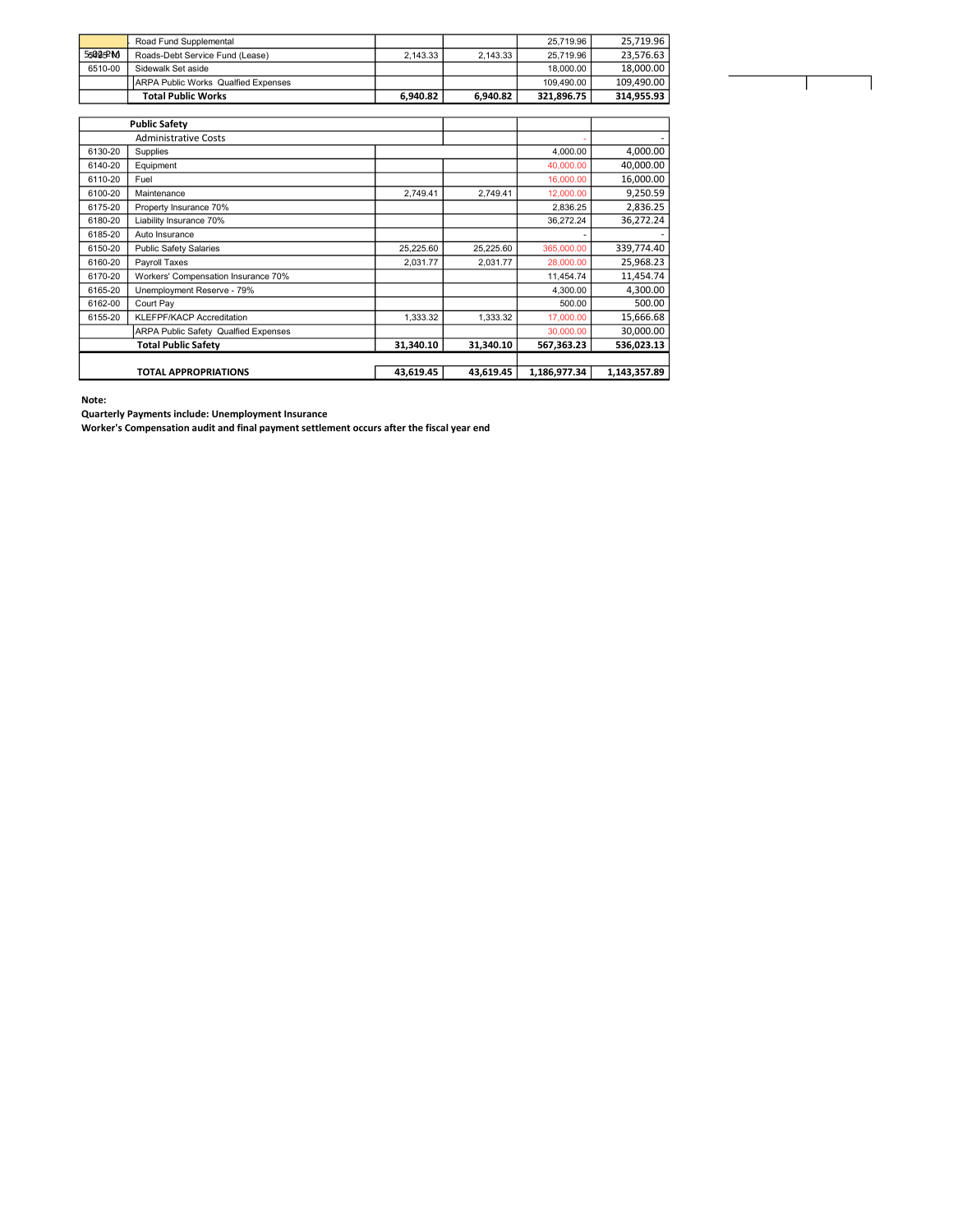|         | Road Fund Supplemental                     |          |          | 25.719.96  | 25.719.96  |
|---------|--------------------------------------------|----------|----------|------------|------------|
| 55095PM | Roads-Debt Service Fund (Lease)            | 2.143.33 | 2.143.33 | 25.719.96  | 23.576.63  |
| 6510-00 | Sidewalk Set aside                         |          |          | 18,000.00  | 18.000.00  |
|         | <b>ARPA Public Works Qualfied Expenses</b> |          |          | 109.490.00 | 109.490.00 |
|         | <b>Total Public Works</b>                  | 6.940.82 | 6.940.82 | 321.896.75 | 314.955.93 |

Τ

|                             | <b>Public Safety</b>                        |           |           |              |              |
|-----------------------------|---------------------------------------------|-----------|-----------|--------------|--------------|
| <b>Administrative Costs</b> |                                             |           |           |              |              |
| 6130-20                     | Supplies                                    |           |           | 4,000.00     | 4,000.00     |
| 6140-20                     | Equipment                                   |           |           | 40,000.00    | 40,000.00    |
| 6110-20                     | Fuel                                        |           |           | 16,000.00    | 16,000.00    |
| 6100-20                     | Maintenance                                 | 2.749.41  | 2.749.41  | 12,000.00    | 9,250.59     |
| 6175-20                     | Property Insurance 70%                      |           |           | 2,836.25     | 2,836.25     |
| 6180-20                     | Liability Insurance 70%                     |           |           | 36.272.24    | 36.272.24    |
| 6185-20                     | Auto Insurance                              |           |           |              |              |
| 6150-20                     | <b>Public Safety Salaries</b>               | 25,225.60 | 25,225.60 | 365,000.00   | 339,774.40   |
| 6160-20                     | Payroll Taxes                               | 2,031.77  | 2.031.77  | 28,000.00    | 25,968.23    |
| 6170-20                     | Workers' Compensation Insurance 70%         |           |           | 11,454.74    | 11,454.74    |
| 6165-20                     | Unemployment Reserve - 79%                  |           |           | 4,300.00     | 4,300.00     |
| 6162-00                     | Court Pay                                   |           |           | 500.00       | 500.00       |
| 6155-20                     | KLEFPF/KACP Accreditation                   | 1,333.32  | 1,333.32  | 17,000.00    | 15,666.68    |
|                             | <b>ARPA Public Safety Qualfied Expenses</b> |           |           | 30,000.00    | 30,000.00    |
|                             | <b>Total Public Safety</b>                  | 31,340.10 | 31,340.10 | 567,363.23   | 536,023.13   |
|                             |                                             |           |           |              |              |
|                             | <b>TOTAL APPROPRIATIONS</b>                 | 43,619.45 | 43.619.45 | 1,186,977.34 | 1,143,357.89 |

Note:

Quarterly Payments include: Unemployment Insurance

Worker's Compensation audit and final payment settlement occurs after the fiscal year end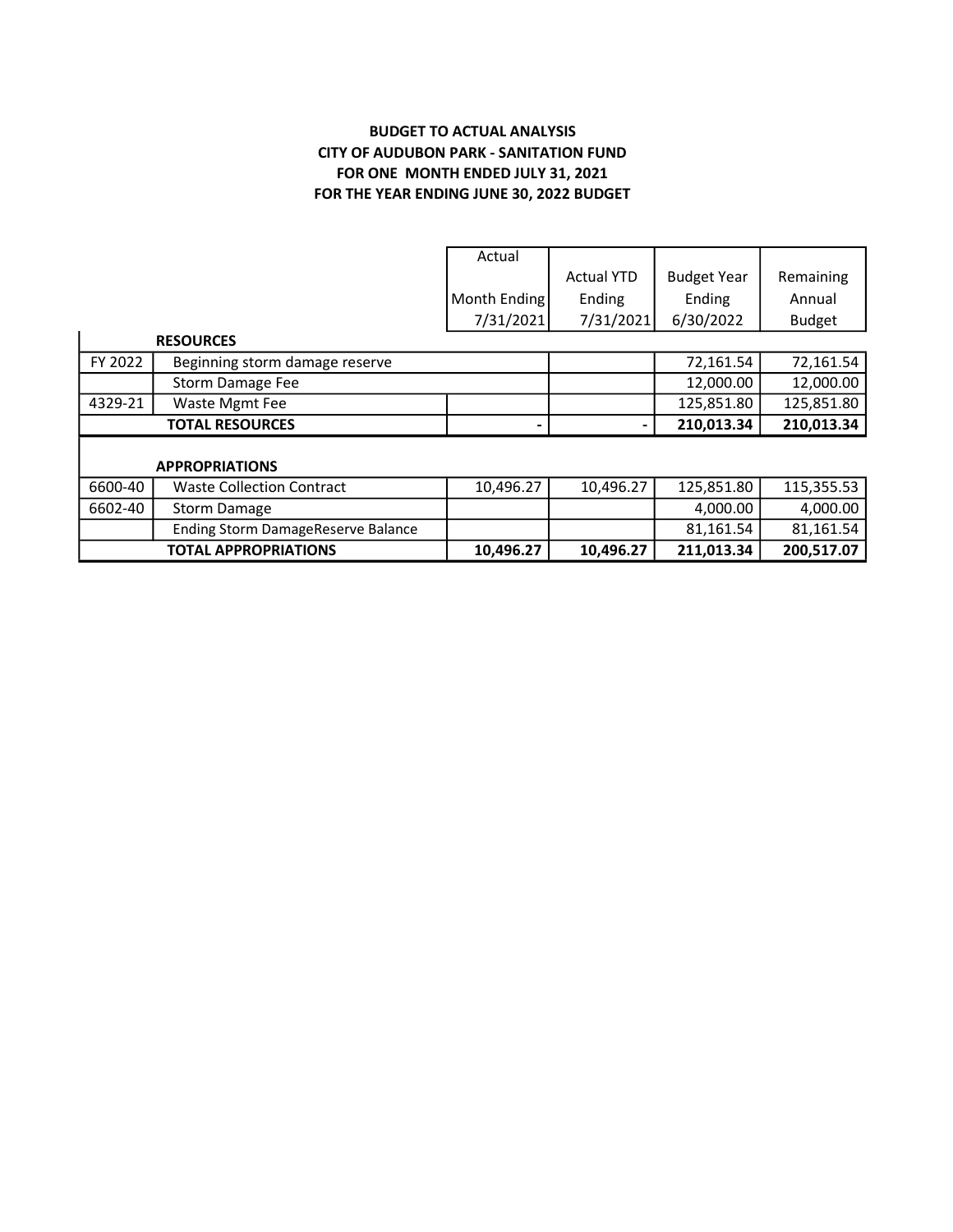## BUDGET TO ACTUAL ANALYSIS CITY OF AUDUBON PARK - SANITATION FUND FOR ONE MONTH ENDED JULY 31, 2021 FOR THE YEAR ENDING JUNE 30, 2022 BUDGET

|         |                                           | Actual       |                   |                    |               |
|---------|-------------------------------------------|--------------|-------------------|--------------------|---------------|
|         |                                           |              | <b>Actual YTD</b> | <b>Budget Year</b> | Remaining     |
|         |                                           | Month Ending | Ending            | Ending             | Annual        |
|         |                                           | 7/31/2021    | 7/31/2021         | 6/30/2022          | <b>Budget</b> |
|         | <b>RESOURCES</b>                          |              |                   |                    |               |
| FY 2022 | Beginning storm damage reserve            |              |                   | 72,161.54          | 72,161.54     |
|         | Storm Damage Fee                          |              |                   | 12,000.00          | 12,000.00     |
| 4329-21 | Waste Mgmt Fee                            |              |                   | 125,851.80         | 125,851.80    |
|         | <b>TOTAL RESOURCES</b>                    |              |                   | 210,013.34         | 210,013.34    |
|         |                                           |              |                   |                    |               |
|         | <b>APPROPRIATIONS</b>                     |              |                   |                    |               |
| 6600-40 | <b>Waste Collection Contract</b>          | 10,496.27    | 10,496.27         | 125,851.80         | 115,355.53    |
| 6602-40 | Storm Damage                              |              |                   | 4,000.00           | 4,000.00      |
|         | <b>Ending Storm DamageReserve Balance</b> |              |                   | 81,161.54          | 81,161.54     |
|         | <b>TOTAL APPROPRIATIONS</b>               | 10,496.27    | 10,496.27         | 211,013.34         | 200,517.07    |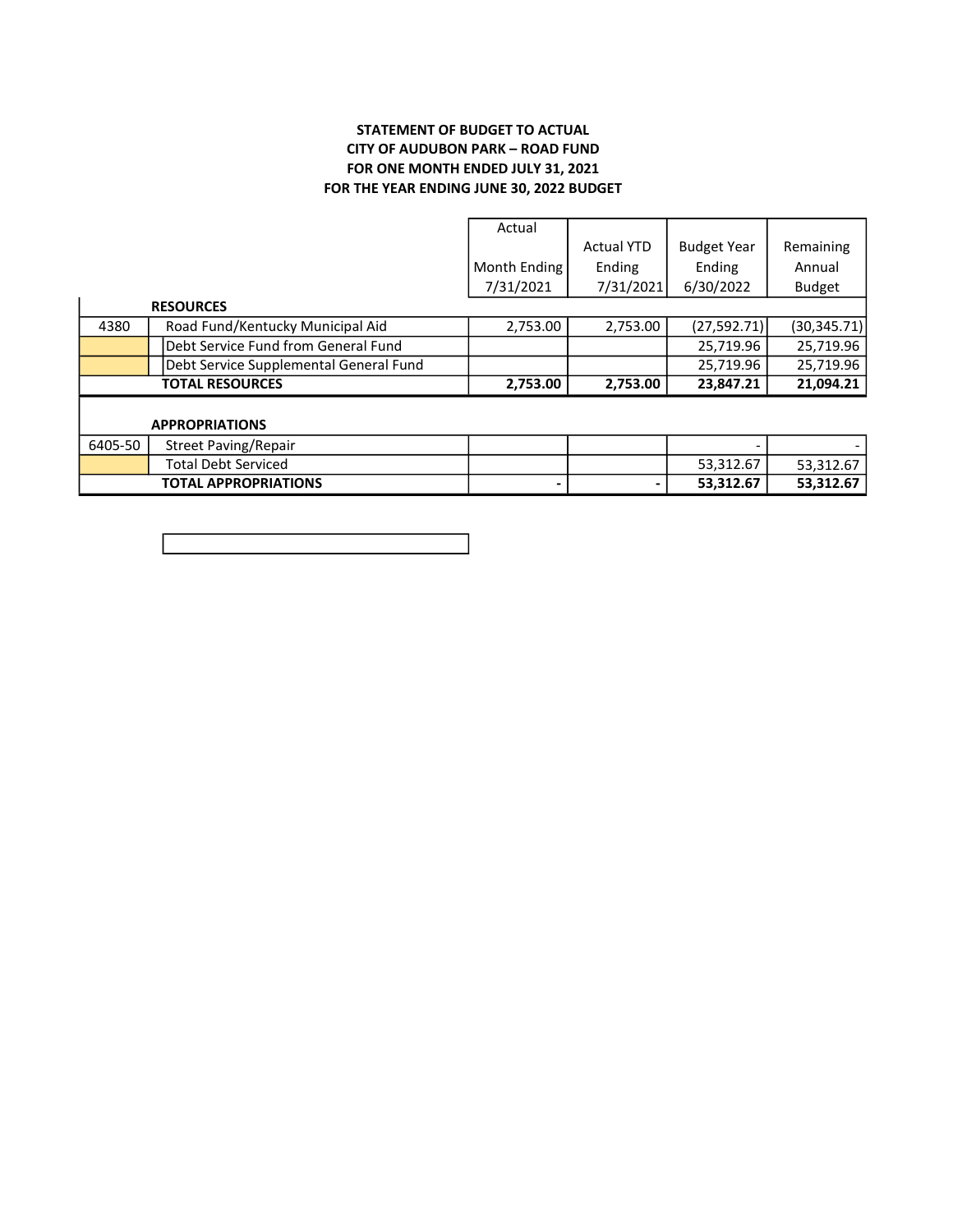## STATEMENT OF BUDGET TO ACTUAL CITY OF AUDUBON PARK – ROAD FUND FOR ONE MONTH ENDED JULY 31, 2021 FOR THE YEAR ENDING JUNE 30, 2022 BUDGET

|         |                                        | Actual       |                   |                    |               |
|---------|----------------------------------------|--------------|-------------------|--------------------|---------------|
|         |                                        |              | <b>Actual YTD</b> | <b>Budget Year</b> | Remaining     |
|         |                                        | Month Ending | Ending            | Ending             | Annual        |
|         |                                        | 7/31/2021    | 7/31/2021         | 6/30/2022          | <b>Budget</b> |
|         | <b>RESOURCES</b>                       |              |                   |                    |               |
| 4380    | Road Fund/Kentucky Municipal Aid       | 2,753.00     | 2,753.00          | (27, 592.71)       | (30, 345.71)  |
|         | Debt Service Fund from General Fund    |              |                   | 25,719.96          | 25,719.96     |
|         | Debt Service Supplemental General Fund |              |                   | 25,719.96          | 25,719.96     |
|         | <b>TOTAL RESOURCES</b>                 | 2,753.00     | 2,753.00          | 23,847.21          | 21,094.21     |
|         |                                        |              |                   |                    |               |
|         | <b>APPROPRIATIONS</b>                  |              |                   |                    |               |
| 6405-50 | <b>Street Paving/Repair</b>            |              |                   |                    |               |
|         | <b>Total Debt Serviced</b>             |              |                   | 53,312.67          | 53,312.67     |
|         | <b>TOTAL APPROPRIATIONS</b>            |              |                   | 53,312.67          | 53,312.67     |